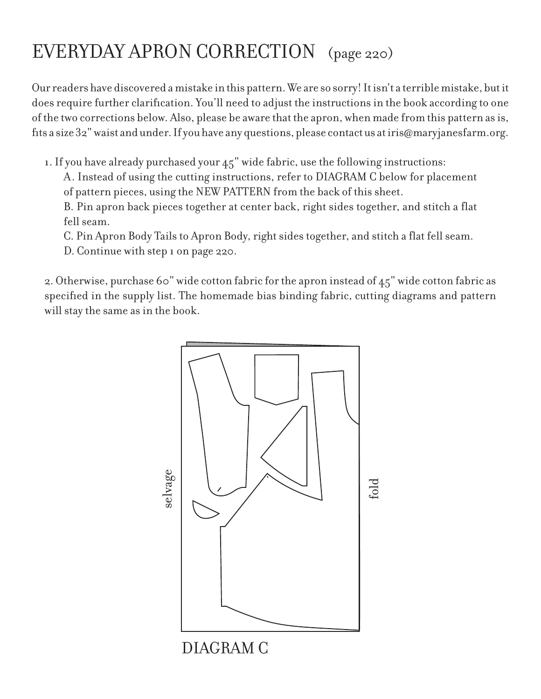## EVERYDAY APRON CORRECTION (page 220)

Our readers have discovered a mistake in this pattern. We are so sorry! It isn't a terrible mistake, but it does require further clarification. You'll need to adjust the instructions in the book according to one of the two corrections below. Also, please be aware that the apron, when made from this pattern as is, fits a size 32" waist and under. If you have any questions, please contact us at iris@maryjanesfarm.org.

1. If you have already purchased your 45" wide fabric, use the following instructions:

A. Instead of using the cutting instructions, refer to DIAGRAM C below for placement of pattern pieces, using the NEW PATTERN from the back of this sheet.

B. Pin apron back pieces together at center back, right sides together, and stitch a flat fell seam.

C. Pin Apron Body Tails to Apron Body, right sides together, and stitch a flat fell seam.

D. Continue with step 1 on page 220.

2. Otherwise, purchase 60" wide cotton fabric for the apron instead of 45" wide cotton fabric as specified in the supply list. The homemade bias binding fabric, cutting diagrams and pattern will stay the same as in the book.